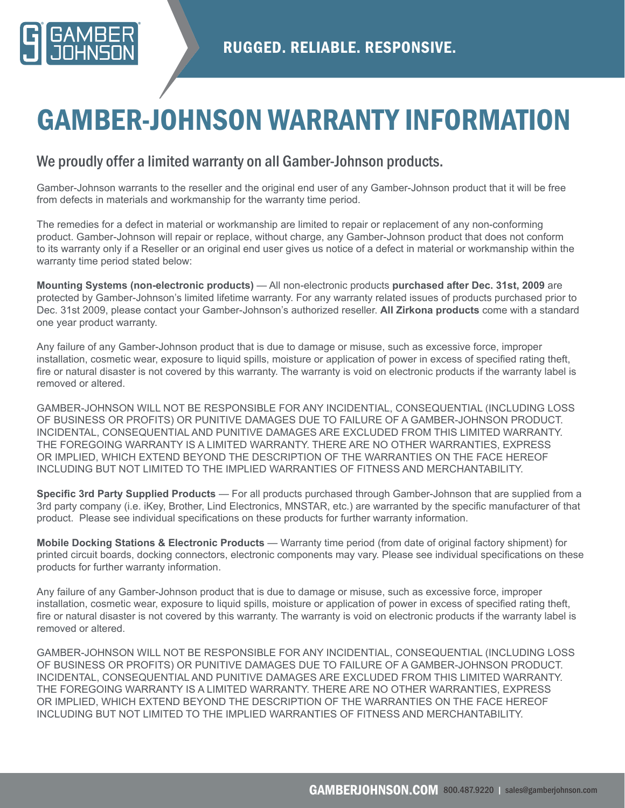

# GAMBER-JOHNSON WARRANTY INFORMATION

## We proudly offer a limited warranty on all Gamber-Johnson products.

Gamber-Johnson warrants to the reseller and the original end user of any Gamber-Johnson product that it will be free from defects in materials and workmanship for the warranty time period.

The remedies for a defect in material or workmanship are limited to repair or replacement of any non-conforming product. Gamber-Johnson will repair or replace, without charge, any Gamber-Johnson product that does not conform to its warranty only if a Reseller or an original end user gives us notice of a defect in material or workmanship within the warranty time period stated below:

**Mounting Systems (non-electronic products)** — All non-electronic products **purchased after Dec. 31st, 2009** are protected by Gamber-Johnson's limited lifetime warranty. For any warranty related issues of products purchased prior to Dec. 31st 2009, please contact your Gamber-Johnson's authorized reseller. **All Zirkona products** come with a standard one year product warranty.

Any failure of any Gamber-Johnson product that is due to damage or misuse, such as excessive force, improper installation, cosmetic wear, exposure to liquid spills, moisture or application of power in excess of specified rating theft, fire or natural disaster is not covered by this warranty. The warranty is void on electronic products if the warranty label is removed or altered.

GAMBER-JOHNSON WILL NOT BE RESPONSIBLE FOR ANY INCIDENTIAL, CONSEQUENTIAL (INCLUDING LOSS OF BUSINESS OR PROFITS) OR PUNITIVE DAMAGES DUE TO FAILURE OF A GAMBER-JOHNSON PRODUCT. INCIDENTAL, CONSEQUENTIAL AND PUNITIVE DAMAGES ARE EXCLUDED FROM THIS LIMITED WARRANTY. THE FOREGOING WARRANTY IS A LIMITED WARRANTY. THERE ARE NO OTHER WARRANTIES, EXPRESS OR IMPLIED, WHICH EXTEND BEYOND THE DESCRIPTION OF THE WARRANTIES ON THE FACE HEREOF INCLUDING BUT NOT LIMITED TO THE IMPLIED WARRANTIES OF FITNESS AND MERCHANTABILITY.

**Specific 3rd Party Supplied Products** — For all products purchased through Gamber-Johnson that are supplied from a 3rd party company (i.e. iKey, Brother, Lind Electronics, MNSTAR, etc.) are warranted by the specific manufacturer of that product. Please see individual specifications on these products for further warranty information.

**Mobile Docking Stations & Electronic Products** — Warranty time period (from date of original factory shipment) for printed circuit boards, docking connectors, electronic components may vary. Please see individual specifications on these products for further warranty information.

Any failure of any Gamber-Johnson product that is due to damage or misuse, such as excessive force, improper installation, cosmetic wear, exposure to liquid spills, moisture or application of power in excess of specified rating theft, fire or natural disaster is not covered by this warranty. The warranty is void on electronic products if the warranty label is removed or altered.

GAMBER-JOHNSON WILL NOT BE RESPONSIBLE FOR ANY INCIDENTIAL, CONSEQUENTIAL (INCLUDING LOSS OF BUSINESS OR PROFITS) OR PUNITIVE DAMAGES DUE TO FAILURE OF A GAMBER-JOHNSON PRODUCT. INCIDENTAL, CONSEQUENTIAL AND PUNITIVE DAMAGES ARE EXCLUDED FROM THIS LIMITED WARRANTY. THE FOREGOING WARRANTY IS A LIMITED WARRANTY. THERE ARE NO OTHER WARRANTIES, EXPRESS OR IMPLIED, WHICH EXTEND BEYOND THE DESCRIPTION OF THE WARRANTIES ON THE FACE HEREOF INCLUDING BUT NOT LIMITED TO THE IMPLIED WARRANTIES OF FITNESS AND MERCHANTABILITY.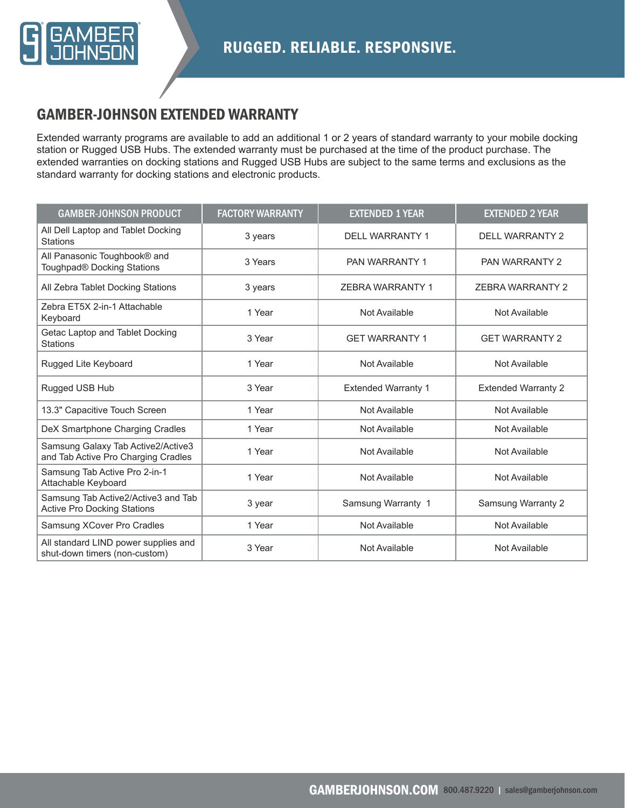

# GAMBER-JOHNSON EXTENDED WARRANTY

Extended warranty programs are available to add an additional 1 or 2 years of standard warranty to your mobile docking station or Rugged USB Hubs. The extended warranty must be purchased at the time of the product purchase. The extended warranties on docking stations and Rugged USB Hubs are subject to the same terms and exclusions as the standard warranty for docking stations and electronic products.

| <b>GAMBER-JOHNSON PRODUCT</b>                                             | <b>FACTORY WARRANTY</b> | <b>EXTENDED 1 YEAR</b>     | <b>EXTENDED 2 YEAR</b>     |
|---------------------------------------------------------------------------|-------------------------|----------------------------|----------------------------|
| All Dell Laptop and Tablet Docking<br><b>Stations</b>                     | 3 years                 | <b>DELL WARRANTY 1</b>     | <b>DELL WARRANTY 2</b>     |
| All Panasonic Toughbook® and<br>Toughpad® Docking Stations                | 3 Years                 | PAN WARRANTY 1             | <b>PAN WARRANTY 2</b>      |
| All Zebra Tablet Docking Stations                                         | 3 years                 | <b>ZEBRA WARRANTY 1</b>    | <b>ZEBRA WARRANTY 2</b>    |
| Zebra ET5X 2-in-1 Attachable<br>Keyboard                                  | 1 Year                  | Not Available              | Not Available              |
| Getac Laptop and Tablet Docking<br><b>Stations</b>                        | 3 Year                  | <b>GET WARRANTY 1</b>      | <b>GET WARRANTY 2</b>      |
| Rugged Lite Keyboard                                                      | 1 Year                  | Not Available              | Not Available              |
| Rugged USB Hub                                                            | 3 Year                  | <b>Extended Warranty 1</b> | <b>Extended Warranty 2</b> |
| 13.3" Capacitive Touch Screen                                             | 1 Year                  | Not Available              | Not Available              |
| DeX Smartphone Charging Cradles                                           | 1 Year                  | Not Available              | Not Available              |
| Samsung Galaxy Tab Active2/Active3<br>and Tab Active Pro Charging Cradles | 1 Year                  | Not Available              | Not Available              |
| Samsung Tab Active Pro 2-in-1<br>Attachable Keyboard                      | 1 Year                  | Not Available              | Not Available              |
| Samsung Tab Active2/Active3 and Tab<br><b>Active Pro Docking Stations</b> | 3 year                  | Samsung Warranty 1         | <b>Samsung Warranty 2</b>  |
| Samsung XCover Pro Cradles                                                | 1 Year                  | Not Available              | Not Available              |
| All standard LIND power supplies and<br>shut-down timers (non-custom)     | 3 Year                  | Not Available              | Not Available              |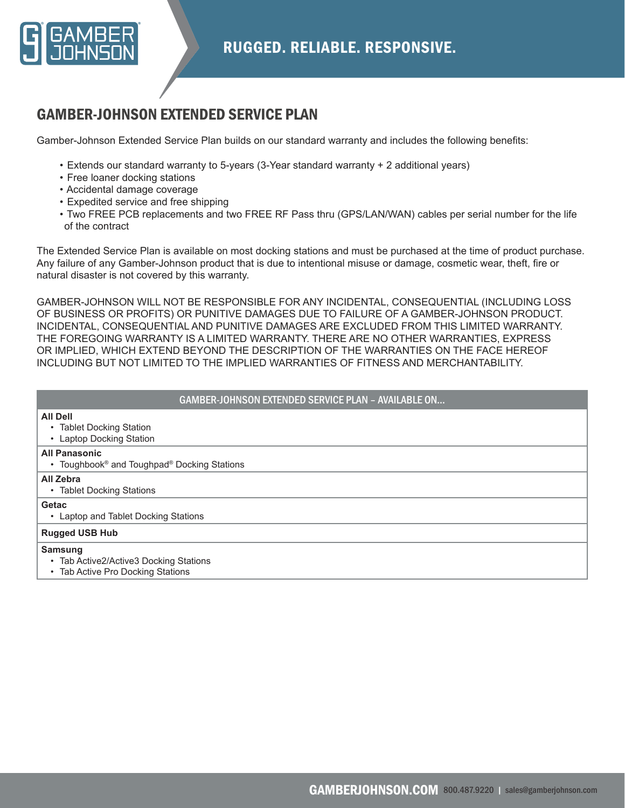

# GAMBER-JOHNSON EXTENDED SERVICE PLAN

Gamber-Johnson Extended Service Plan builds on our standard warranty and includes the following benefits:

- Extends our standard warranty to 5-years (3-Year standard warranty + 2 additional years)
- Free loaner docking stations
- Accidental damage coverage
- Expedited service and free shipping
- Two FREE PCB replacements and two FREE RF Pass thru (GPS/LAN/WAN) cables per serial number for the life of the contract

The Extended Service Plan is available on most docking stations and must be purchased at the time of product purchase. Any failure of any Gamber-Johnson product that is due to intentional misuse or damage, cosmetic wear, theft, fire or natural disaster is not covered by this warranty.

GAMBER-JOHNSON WILL NOT BE RESPONSIBLE FOR ANY INCIDENTAL, CONSEQUENTIAL (INCLUDING LOSS OF BUSINESS OR PROFITS) OR PUNITIVE DAMAGES DUE TO FAILURE OF A GAMBER-JOHNSON PRODUCT. INCIDENTAL, CONSEQUENTIAL AND PUNITIVE DAMAGES ARE EXCLUDED FROM THIS LIMITED WARRANTY. THE FOREGOING WARRANTY IS A LIMITED WARRANTY. THERE ARE NO OTHER WARRANTIES, EXPRESS OR IMPLIED, WHICH EXTEND BEYOND THE DESCRIPTION OF THE WARRANTIES ON THE FACE HEREOF INCLUDING BUT NOT LIMITED TO THE IMPLIED WARRANTIES OF FITNESS AND MERCHANTABILITY.

| <b>GAMBER-JOHNSON EXTENDED SERVICE PLAN - AVAILABLE ON</b>                                                  |  |  |  |
|-------------------------------------------------------------------------------------------------------------|--|--|--|
| <b>All Dell</b><br><b>Tablet Docking Station</b><br>$\bullet$<br><b>Laptop Docking Station</b><br>$\bullet$ |  |  |  |
| <b>All Panasonic</b><br>• Toughbook <sup>®</sup> and Toughpad <sup>®</sup> Docking Stations                 |  |  |  |
| All Zebra<br>• Tablet Docking Stations                                                                      |  |  |  |
| Getac<br>Laptop and Tablet Docking Stations<br>$\bullet$                                                    |  |  |  |
| <b>Rugged USB Hub</b>                                                                                       |  |  |  |
| Samsung<br>• Tab Active2/Active3 Docking Stations<br>• Tab Active Pro Docking Stations                      |  |  |  |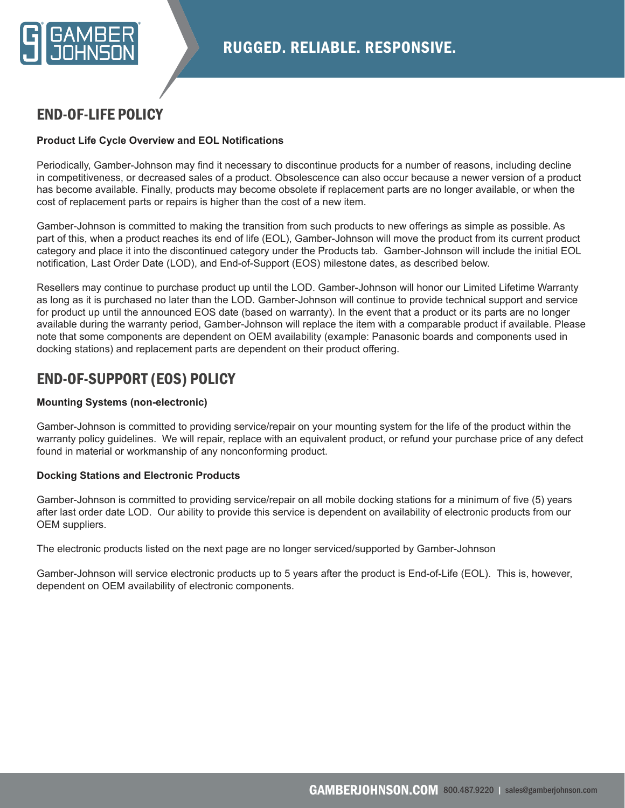

### END-OF-LIFE POLICY

#### **Product Life Cycle Overview and EOL Notifications**

Periodically, Gamber-Johnson may find it necessary to discontinue products for a number of reasons, including decline in competitiveness, or decreased sales of a product. Obsolescence can also occur because a newer version of a product has become available. Finally, products may become obsolete if replacement parts are no longer available, or when the cost of replacement parts or repairs is higher than the cost of a new item.

Gamber-Johnson is committed to making the transition from such products to new offerings as simple as possible. As part of this, when a product reaches its end of life (EOL), Gamber-Johnson will move the product from its current product category and place it into the discontinued category under the Products tab. Gamber-Johnson will include the initial EOL notification, Last Order Date (LOD), and End-of-Support (EOS) milestone dates, as described below.

Resellers may continue to purchase product up until the LOD. Gamber-Johnson will honor our Limited Lifetime Warranty as long as it is purchased no later than the LOD. Gamber-Johnson will continue to provide technical support and service for product up until the announced EOS date (based on warranty). In the event that a product or its parts are no longer available during the warranty period, Gamber-Johnson will replace the item with a comparable product if available. Please note that some components are dependent on OEM availability (example: Panasonic boards and components used in docking stations) and replacement parts are dependent on their product offering.

## END-OF-SUPPORT (EOS) POLICY

#### **Mounting Systems (non-electronic)**

Gamber-Johnson is committed to providing service/repair on your mounting system for the life of the product within the warranty policy guidelines. We will repair, replace with an equivalent product, or refund your purchase price of any defect found in material or workmanship of any nonconforming product.

#### **Docking Stations and Electronic Products**

Gamber-Johnson is committed to providing service/repair on all mobile docking stations for a minimum of five (5) years after last order date LOD. Our ability to provide this service is dependent on availability of electronic products from our OEM suppliers.

The electronic products listed on the next page are no longer serviced/supported by Gamber-Johnson

Gamber-Johnson will service electronic products up to 5 years after the product is End-of-Life (EOL). This is, however, dependent on OEM availability of electronic components.